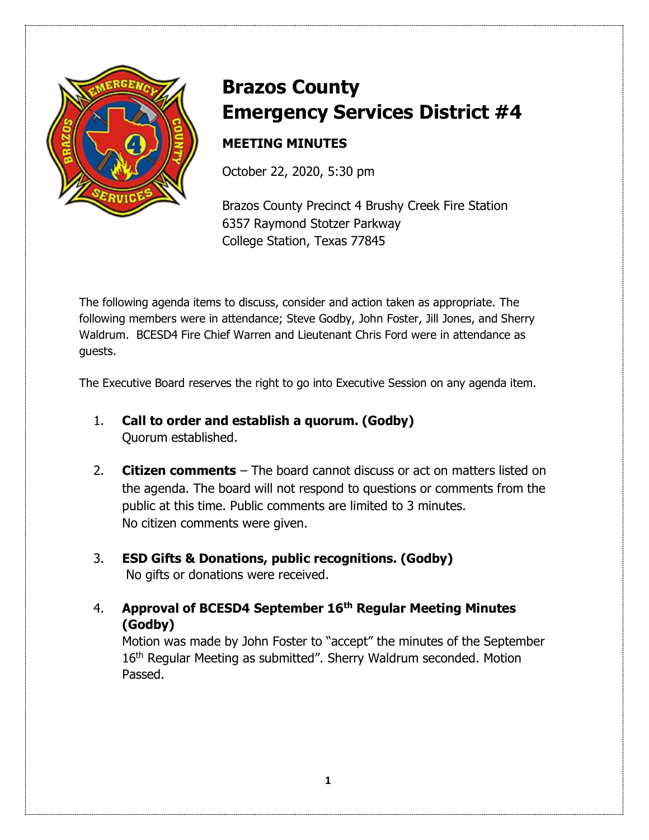

# **Brazos County Emergency Services District #4**

## **MEETING MINUTES**

October 22, 2020, 5:30 pm

Brazos County Precinct 4 Brushy Creek Fire Station 6357 Raymond Stotzer Parkway College Station, Texas 77845

The following agenda items to discuss, consider and action taken as appropriate. The following members were in attendance; Steve Godby, John Foster, Jill Jones, and Sherry Waldrum. BCESD4 Fire Chief Warren and Lieutenant Chris Ford were in attendance as guests.

The Executive Board reserves the right to go into Executive Session on any agenda item.

- 1. **Call to order and establish a quorum. (Godby)** Quorum established.
- 2. **Citizen comments** The board cannot discuss or act on matters listed on the agenda. The board will not respond to questions or comments from the public at this time. Public comments are limited to 3 minutes. No citizen comments were given.
- 3. **ESD Gifts & Donations, public recognitions. (Godby)**  No gifts or donations were received.
- 4. **Approval of BCESD4 September 16th Regular Meeting Minutes (Godby)**

Motion was made by John Foster to "accept" the minutes of the September 16<sup>th</sup> Regular Meeting as submitted". Sherry Waldrum seconded. Motion Passed.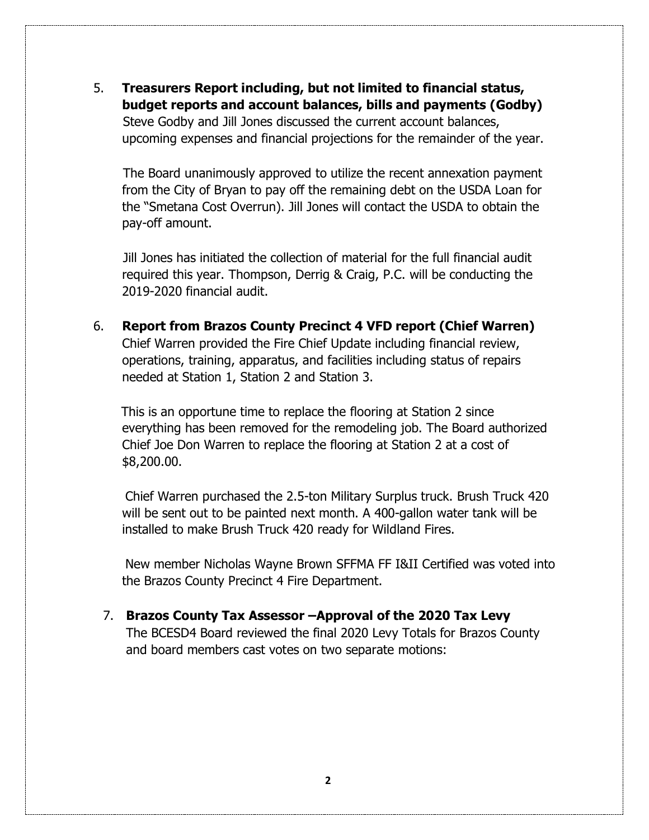5. **Treasurers Report including, but not limited to financial status, budget reports and account balances, bills and payments (Godby)** 

Steve Godby and Jill Jones discussed the current account balances, upcoming expenses and financial projections for the remainder of the year.

The Board unanimously approved to utilize the recent annexation payment from the City of Bryan to pay off the remaining debt on the USDA Loan for the "Smetana Cost Overrun). Jill Jones will contact the USDA to obtain the pay-off amount.

Jill Jones has initiated the collection of material for the full financial audit required this year. Thompson, Derrig & Craig, P.C. will be conducting the 2019-2020 financial audit.

6. **Report from Brazos County Precinct 4 VFD report (Chief Warren)** Chief Warren provided the Fire Chief Update including financial review, operations, training, apparatus, and facilities including status of repairs needed at Station 1, Station 2 and Station 3.

 This is an opportune time to replace the flooring at Station 2 since everything has been removed for the remodeling job. The Board authorized Chief Joe Don Warren to replace the flooring at Station 2 at a cost of \$8,200.00.

 Chief Warren purchased the 2.5-ton Military Surplus truck. Brush Truck 420 will be sent out to be painted next month. A 400-gallon water tank will be installed to make Brush Truck 420 ready for Wildland Fires.

 New member Nicholas Wayne Brown SFFMA FF I&II Certified was voted into the Brazos County Precinct 4 Fire Department.

7. **Brazos County Tax Assessor –Approval of the 2020 Tax Levy** The BCESD4 Board reviewed the final 2020 Levy Totals for Brazos County and board members cast votes on two separate motions: